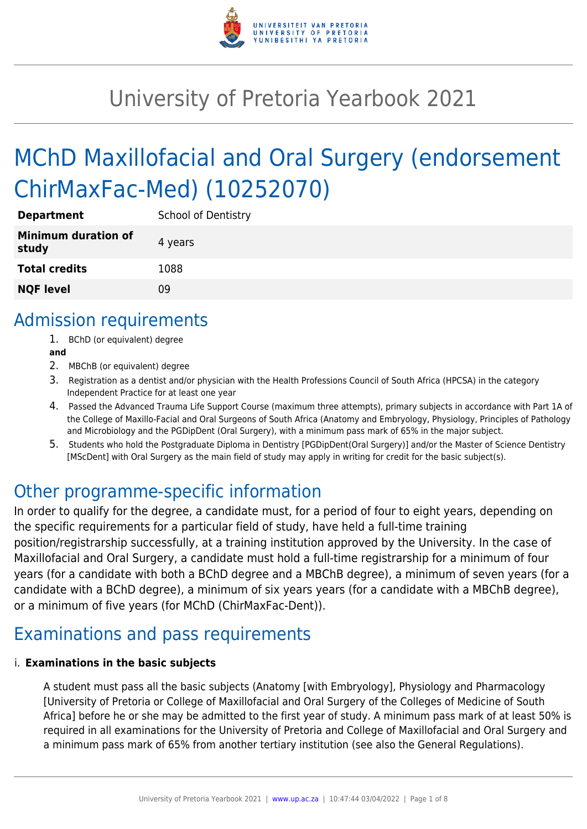

# University of Pretoria Yearbook 2021

# MChD Maxillofacial and Oral Surgery (endorsement ChirMaxFac-Med) (10252070)

| <b>Department</b>                   | <b>School of Dentistry</b> |
|-------------------------------------|----------------------------|
| <b>Minimum duration of</b><br>study | 4 years                    |
| <b>Total credits</b>                | 1088                       |
| <b>NQF level</b>                    | Ωg                         |

## Admission requirements

- 1. BChD (or equivalent) degree
- **and**
- 2. MBChB (or equivalent) degree
- 3. Registration as a dentist and/or physician with the Health Professions Council of South Africa (HPCSA) in the category Independent Practice for at least one year
- 4. Passed the Advanced Trauma Life Support Course (maximum three attempts), primary subjects in accordance with Part 1A of the College of Maxillo-Facial and Oral Surgeons of South Africa (Anatomy and Embryology, Physiology, Principles of Pathology and Microbiology and the PGDipDent (Oral Surgery), with a minimum pass mark of 65% in the major subject.
- 5. Students who hold the Postgraduate Diploma in Dentistry [PGDipDent(Oral Surgery)] and/or the Master of Science Dentistry [MScDent] with Oral Surgery as the main field of study may apply in writing for credit for the basic subject(s).

# Other programme-specific information

In order to qualify for the degree, a candidate must, for a period of four to eight years, depending on the specific requirements for a particular field of study, have held a full-time training position/registrarship successfully, at a training institution approved by the University. In the case of Maxillofacial and Oral Surgery, a candidate must hold a full-time registrarship for a minimum of four years (for a candidate with both a BChD degree and a MBChB degree), a minimum of seven years (for a candidate with a BChD degree), a minimum of six years years (for a candidate with a MBChB degree), or a minimum of five years (for MChD (ChirMaxFac-Dent)).

# Examinations and pass requirements

#### i. **Examinations in the basic subjects**

A student must pass all the basic subjects (Anatomy [with Embryology], Physiology and Pharmacology [University of Pretoria or College of Maxillofacial and Oral Surgery of the Colleges of Medicine of South Africa] before he or she may be admitted to the first year of study. A minimum pass mark of at least 50% is required in all examinations for the University of Pretoria and College of Maxillofacial and Oral Surgery and a minimum pass mark of 65% from another tertiary institution (see also the General Regulations).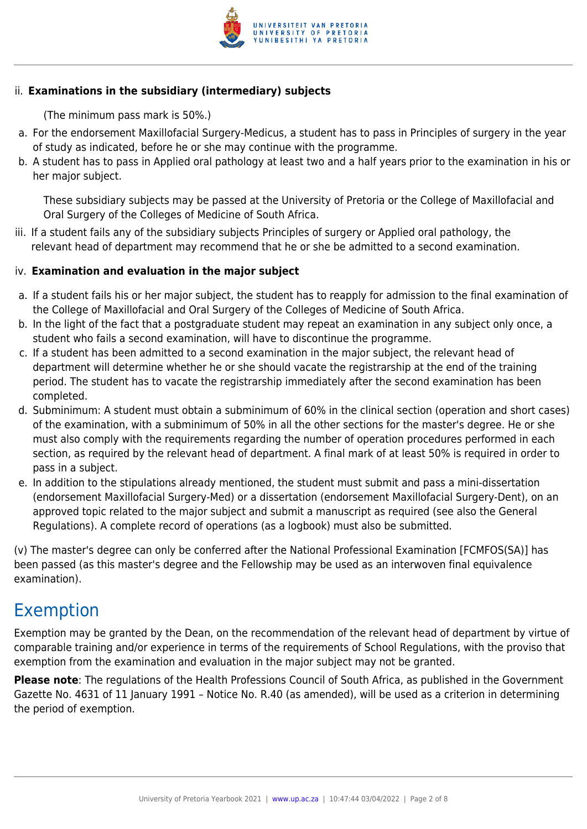

#### ii. **Examinations in the subsidiary (intermediary) subjects**

(The minimum pass mark is 50%.)

- a. For the endorsement Maxillofacial Surgery-Medicus, a student has to pass in Principles of surgery in the year of study as indicated, before he or she may continue with the programme.
- b. A student has to pass in Applied oral pathology at least two and a half years prior to the examination in his or her major subject.

These subsidiary subjects may be passed at the University of Pretoria or the College of Maxillofacial and Oral Surgery of the Colleges of Medicine of South Africa.

iii. If a student fails any of the subsidiary subjects Principles of surgery or Applied oral pathology, the relevant head of department may recommend that he or she be admitted to a second examination.

#### iv. **Examination and evaluation in the major subject**

- a. If a student fails his or her major subject, the student has to reapply for admission to the final examination of the College of Maxillofacial and Oral Surgery of the Colleges of Medicine of South Africa.
- b. In the light of the fact that a postgraduate student may repeat an examination in any subject only once, a student who fails a second examination, will have to discontinue the programme.
- c. If a student has been admitted to a second examination in the major subject, the relevant head of department will determine whether he or she should vacate the registrarship at the end of the training period. The student has to vacate the registrarship immediately after the second examination has been completed.
- d. Subminimum: A student must obtain a subminimum of 60% in the clinical section (operation and short cases) of the examination, with a subminimum of 50% in all the other sections for the master's degree. He or she must also comply with the requirements regarding the number of operation procedures performed in each section, as required by the relevant head of department. A final mark of at least 50% is required in order to pass in a subject.
- e. In addition to the stipulations already mentioned, the student must submit and pass a mini-dissertation (endorsement Maxillofacial Surgery-Med) or a dissertation (endorsement Maxillofacial Surgery-Dent), on an approved topic related to the major subject and submit a manuscript as required (see also the General Regulations). A complete record of operations (as a logbook) must also be submitted.

(v) The master's degree can only be conferred after the National Professional Examination [FCMFOS(SA)] has been passed (as this master's degree and the Fellowship may be used as an interwoven final equivalence examination).

# Exemption

Exemption may be granted by the Dean, on the recommendation of the relevant head of department by virtue of comparable training and/or experience in terms of the requirements of School Regulations, with the proviso that exemption from the examination and evaluation in the major subject may not be granted.

**Please note**: The regulations of the Health Professions Council of South Africa, as published in the Government Gazette No. 4631 of 11 January 1991 – Notice No. R.40 (as amended), will be used as a criterion in determining the period of exemption.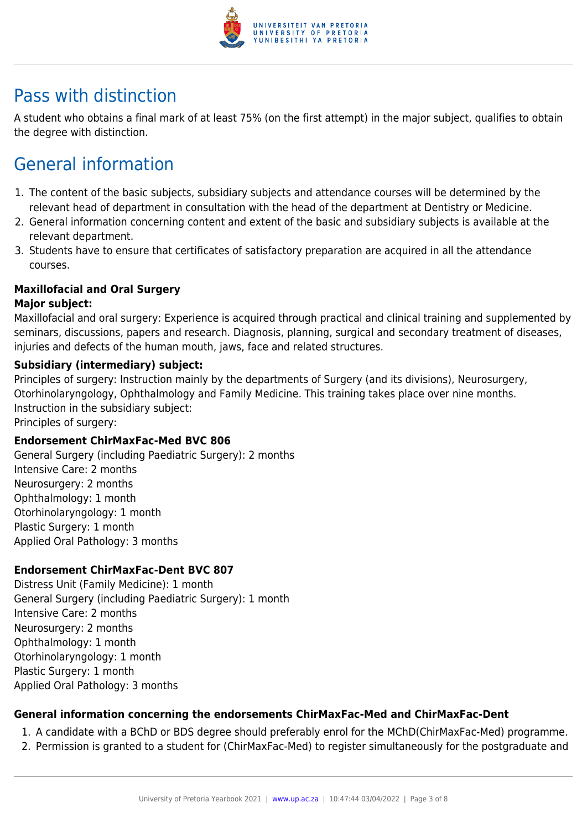

# Pass with distinction

A student who obtains a final mark of at least 75% (on the first attempt) in the major subject, qualifies to obtain the degree with distinction.

# General information

- 1. The content of the basic subjects, subsidiary subjects and attendance courses will be determined by the relevant head of department in consultation with the head of the department at Dentistry or Medicine.
- 2. General information concerning content and extent of the basic and subsidiary subjects is available at the relevant department.
- 3. Students have to ensure that certificates of satisfactory preparation are acquired in all the attendance courses.

#### **Maxillofacial and Oral Surgery**

#### **Major subject:**

Maxillofacial and oral surgery: Experience is acquired through practical and clinical training and supplemented by seminars, discussions, papers and research. Diagnosis, planning, surgical and secondary treatment of diseases, injuries and defects of the human mouth, jaws, face and related structures.

#### **Subsidiary (intermediary) subject:**

Principles of surgery: Instruction mainly by the departments of Surgery (and its divisions), Neurosurgery, Otorhinolaryngology, Ophthalmology and Family Medicine. This training takes place over nine months. Instruction in the subsidiary subject:

Principles of surgery:

#### **Endorsement ChirMaxFac-Med BVC 806**

General Surgery (including Paediatric Surgery): 2 months Intensive Care: 2 months Neurosurgery: 2 months Ophthalmology: 1 month Otorhinolaryngology: 1 month Plastic Surgery: 1 month Applied Oral Pathology: 3 months

#### **Endorsement ChirMaxFac-Dent BVC 807**

Distress Unit (Family Medicine): 1 month General Surgery (including Paediatric Surgery): 1 month Intensive Care: 2 months Neurosurgery: 2 months Ophthalmology: 1 month Otorhinolaryngology: 1 month Plastic Surgery: 1 month Applied Oral Pathology: 3 months

#### **General information concerning the endorsements ChirMaxFac-Med and ChirMaxFac-Dent**

- 1. A candidate with a BChD or BDS degree should preferably enrol for the MChD(ChirMaxFac-Med) programme.
- 2. Permission is granted to a student for (ChirMaxFac-Med) to register simultaneously for the postgraduate and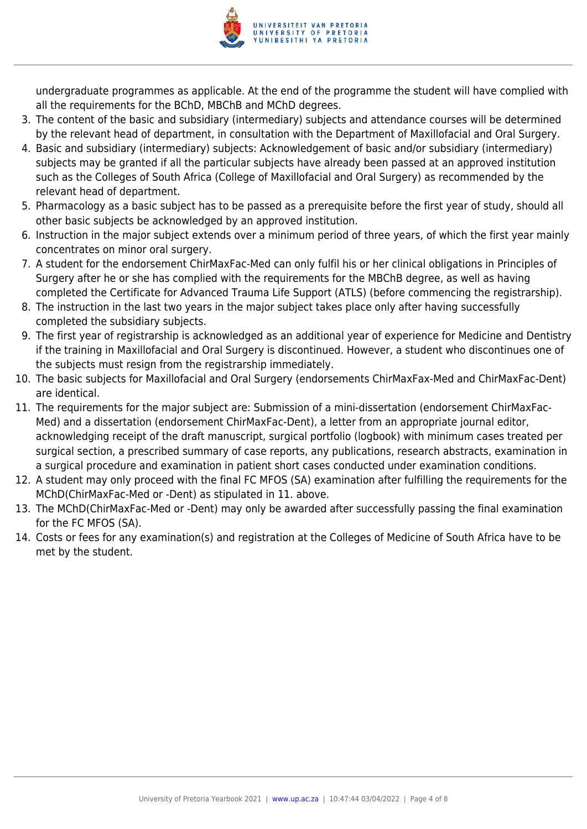

undergraduate programmes as applicable. At the end of the programme the student will have complied with all the requirements for the BChD, MBChB and MChD degrees.

- 3. The content of the basic and subsidiary (intermediary) subjects and attendance courses will be determined by the relevant head of department, in consultation with the Department of Maxillofacial and Oral Surgery.
- 4. Basic and subsidiary (intermediary) subjects: Acknowledgement of basic and/or subsidiary (intermediary) subjects may be granted if all the particular subjects have already been passed at an approved institution such as the Colleges of South Africa (College of Maxillofacial and Oral Surgery) as recommended by the relevant head of department.
- 5. Pharmacology as a basic subject has to be passed as a prerequisite before the first year of study, should all other basic subjects be acknowledged by an approved institution.
- 6. Instruction in the major subject extends over a minimum period of three years, of which the first year mainly concentrates on minor oral surgery.
- 7. A student for the endorsement ChirMaxFac-Med can only fulfil his or her clinical obligations in Principles of Surgery after he or she has complied with the requirements for the MBChB degree, as well as having completed the Certificate for Advanced Trauma Life Support (ATLS) (before commencing the registrarship).
- 8. The instruction in the last two years in the major subject takes place only after having successfully completed the subsidiary subjects.
- 9. The first year of registrarship is acknowledged as an additional year of experience for Medicine and Dentistry if the training in Maxillofacial and Oral Surgery is discontinued. However, a student who discontinues one of the subjects must resign from the registrarship immediately.
- 10. The basic subjects for Maxillofacial and Oral Surgery (endorsements ChirMaxFax-Med and ChirMaxFac-Dent) are identical.
- 11. The requirements for the major subject are: Submission of a mini-dissertation (endorsement ChirMaxFac-Med) and a dissertation (endorsement ChirMaxFac-Dent), a letter from an appropriate journal editor, acknowledging receipt of the draft manuscript, surgical portfolio (logbook) with minimum cases treated per surgical section, a prescribed summary of case reports, any publications, research abstracts, examination in a surgical procedure and examination in patient short cases conducted under examination conditions.
- 12. A student may only proceed with the final FC MFOS (SA) examination after fulfilling the requirements for the MChD(ChirMaxFac-Med or -Dent) as stipulated in 11. above.
- 13. The MChD(ChirMaxFac-Med or -Dent) may only be awarded after successfully passing the final examination for the FC MFOS (SA).
- 14. Costs or fees for any examination(s) and registration at the Colleges of Medicine of South Africa have to be met by the student.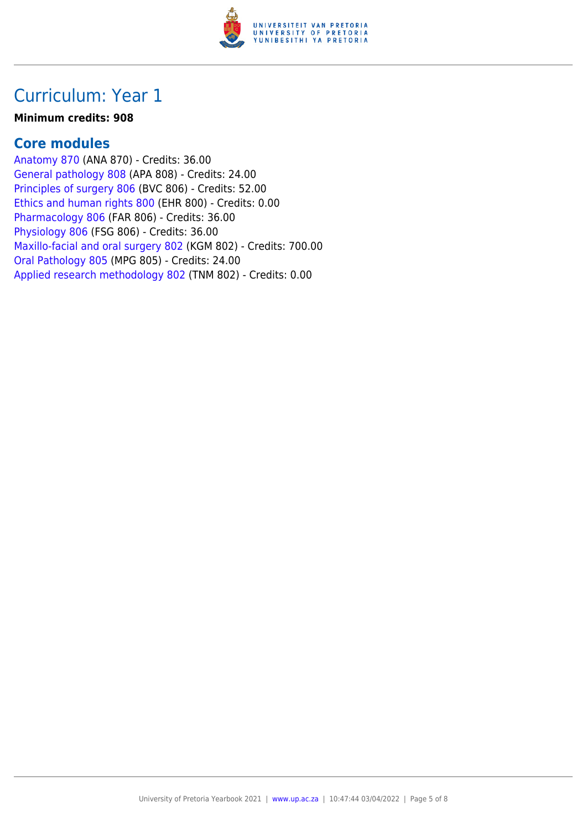

### Curriculum: Year 1

#### **Minimum credits: 908**

#### **Core modules**

[Anatomy 870](https://www.up.ac.za/yearbooks/2021/modules/view/ANA 870) (ANA 870) - Credits: 36.00 [General pathology 808](https://www.up.ac.za/yearbooks/2021/modules/view/APA 808) (APA 808) - Credits: 24.00 [Principles of surgery 806](https://www.up.ac.za/yearbooks/2021/modules/view/BVC 806) (BVC 806) - Credits: 52.00 [Ethics and human rights 800](https://www.up.ac.za/yearbooks/2021/modules/view/EHR 800) (EHR 800) - Credits: 0.00 [Pharmacology 806](https://www.up.ac.za/yearbooks/2021/modules/view/FAR 806) (FAR 806) - Credits: 36.00 [Physiology 806](https://www.up.ac.za/yearbooks/2021/modules/view/FSG 806) (FSG 806) - Credits: 36.00 [Maxillo-facial and oral surgery 802](https://www.up.ac.za/yearbooks/2021/modules/view/KGM 802) (KGM 802) - Credits: 700.00 [Oral Pathology 805](https://www.up.ac.za/yearbooks/2021/modules/view/MPG 805) (MPG 805) - Credits: 24.00 [Applied research methodology 802](https://www.up.ac.za/yearbooks/2021/modules/view/TNM 802) (TNM 802) - Credits: 0.00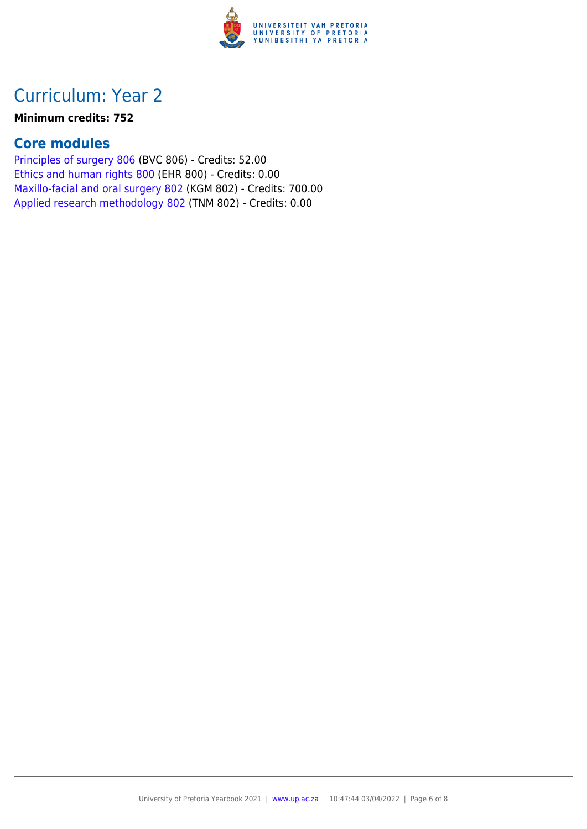

# Curriculum: Year 2

#### **Minimum credits: 752**

#### **Core modules**

[Principles of surgery 806](https://www.up.ac.za/yearbooks/2021/modules/view/BVC 806) (BVC 806) - Credits: 52.00 [Ethics and human rights 800](https://www.up.ac.za/yearbooks/2021/modules/view/EHR 800) (EHR 800) - Credits: 0.00 [Maxillo-facial and oral surgery 802](https://www.up.ac.za/yearbooks/2021/modules/view/KGM 802) (KGM 802) - Credits: 700.00 [Applied research methodology 802](https://www.up.ac.za/yearbooks/2021/modules/view/TNM 802) (TNM 802) - Credits: 0.00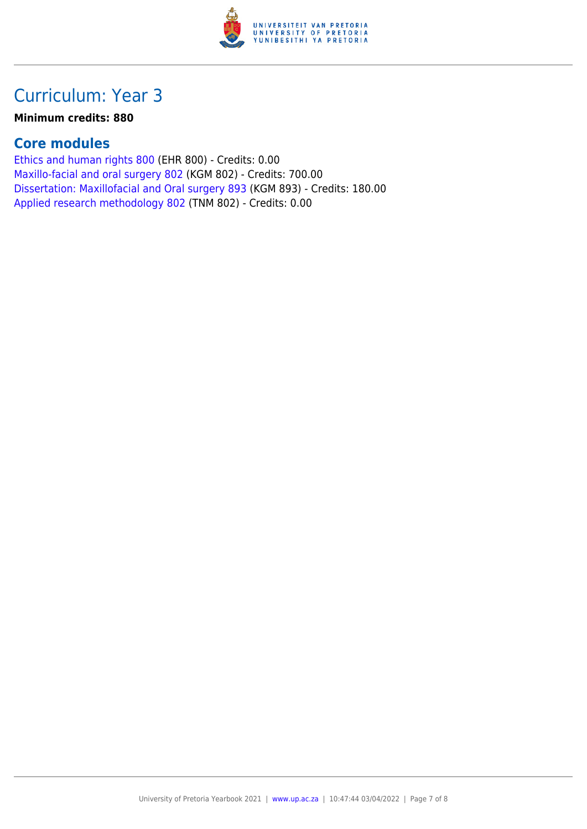

# Curriculum: Year 3

#### **Minimum credits: 880**

#### **Core modules**

[Ethics and human rights 800](https://www.up.ac.za/yearbooks/2021/modules/view/EHR 800) (EHR 800) - Credits: 0.00 [Maxillo-facial and oral surgery 802](https://www.up.ac.za/yearbooks/2021/modules/view/KGM 802) (KGM 802) - Credits: 700.00 [Dissertation: Maxillofacial and Oral surgery 893](https://www.up.ac.za/yearbooks/2021/modules/view/KGM 893) (KGM 893) - Credits: 180.00 [Applied research methodology 802](https://www.up.ac.za/yearbooks/2021/modules/view/TNM 802) (TNM 802) - Credits: 0.00